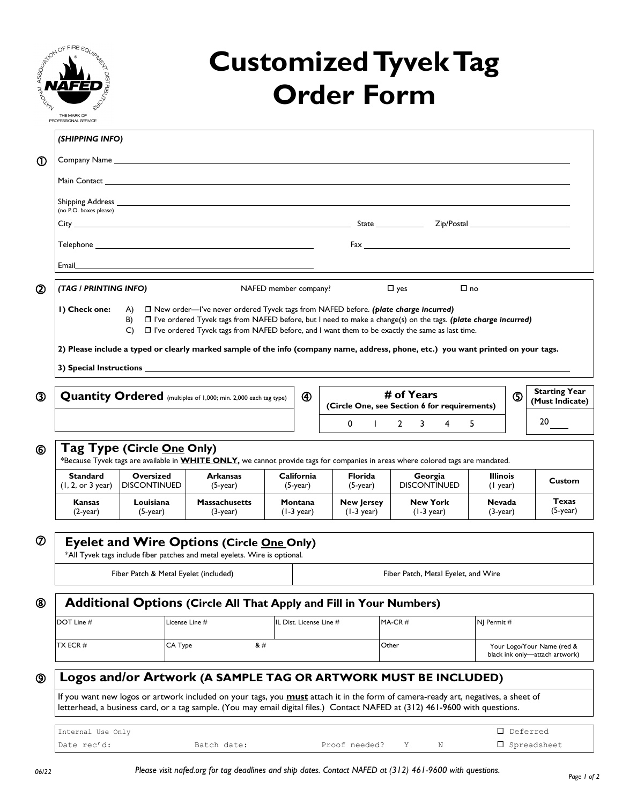| <b>ANARANTES</b>                                                                                                                                                   | SSON OF FIRE EQUI<br>THE MARK OF<br>PROFESSIONAL SERVICE                                                                                                                                                       |                                  |                                                                                                                                                                                                                                                                                                                                                                                                                                                                       |                                                                                                                                                                                                                                                                                                                                                                                                                                                                                                                                                                                                                                                                                             | <b>Order Form</b>                         | <b>Customized Tyvek Tag</b>                                                                                                                                                                                                        |                             |                                         |
|--------------------------------------------------------------------------------------------------------------------------------------------------------------------|----------------------------------------------------------------------------------------------------------------------------------------------------------------------------------------------------------------|----------------------------------|-----------------------------------------------------------------------------------------------------------------------------------------------------------------------------------------------------------------------------------------------------------------------------------------------------------------------------------------------------------------------------------------------------------------------------------------------------------------------|---------------------------------------------------------------------------------------------------------------------------------------------------------------------------------------------------------------------------------------------------------------------------------------------------------------------------------------------------------------------------------------------------------------------------------------------------------------------------------------------------------------------------------------------------------------------------------------------------------------------------------------------------------------------------------------------|-------------------------------------------|------------------------------------------------------------------------------------------------------------------------------------------------------------------------------------------------------------------------------------|-----------------------------|-----------------------------------------|
|                                                                                                                                                                    | (SHIPPING INFO)                                                                                                                                                                                                |                                  |                                                                                                                                                                                                                                                                                                                                                                                                                                                                       |                                                                                                                                                                                                                                                                                                                                                                                                                                                                                                                                                                                                                                                                                             |                                           |                                                                                                                                                                                                                                    |                             |                                         |
| $^\circledR$                                                                                                                                                       |                                                                                                                                                                                                                |                                  |                                                                                                                                                                                                                                                                                                                                                                                                                                                                       |                                                                                                                                                                                                                                                                                                                                                                                                                                                                                                                                                                                                                                                                                             |                                           |                                                                                                                                                                                                                                    |                             |                                         |
|                                                                                                                                                                    |                                                                                                                                                                                                                |                                  |                                                                                                                                                                                                                                                                                                                                                                                                                                                                       |                                                                                                                                                                                                                                                                                                                                                                                                                                                                                                                                                                                                                                                                                             |                                           |                                                                                                                                                                                                                                    |                             |                                         |
|                                                                                                                                                                    |                                                                                                                                                                                                                |                                  | Shipping Address and the contract of the contract of the contract of the contract of the contract of the contract of the contract of the contract of the contract of the contract of the contract of the contract of the contr                                                                                                                                                                                                                                        |                                                                                                                                                                                                                                                                                                                                                                                                                                                                                                                                                                                                                                                                                             |                                           |                                                                                                                                                                                                                                    |                             |                                         |
|                                                                                                                                                                    | (no P.O. boxes please)                                                                                                                                                                                         |                                  |                                                                                                                                                                                                                                                                                                                                                                                                                                                                       |                                                                                                                                                                                                                                                                                                                                                                                                                                                                                                                                                                                                                                                                                             |                                           |                                                                                                                                                                                                                                    |                             |                                         |
|                                                                                                                                                                    |                                                                                                                                                                                                                |                                  |                                                                                                                                                                                                                                                                                                                                                                                                                                                                       |                                                                                                                                                                                                                                                                                                                                                                                                                                                                                                                                                                                                                                                                                             |                                           | $\mathsf{Fax}$ . The contract of the contract of the contract of the contract of the contract of the contract of the contract of the contract of the contract of the contract of the contract of the contract of the contract of t |                             |                                         |
|                                                                                                                                                                    | Email                                                                                                                                                                                                          |                                  | <u> 1989 - Johann Stein, fransk politik (d. 1989)</u>                                                                                                                                                                                                                                                                                                                                                                                                                 |                                                                                                                                                                                                                                                                                                                                                                                                                                                                                                                                                                                                                                                                                             |                                           |                                                                                                                                                                                                                                    |                             |                                         |
| $^{\circledR}$                                                                                                                                                     | (TAG / PRINTING INFO)                                                                                                                                                                                          |                                  |                                                                                                                                                                                                                                                                                                                                                                                                                                                                       | NAFED member company?                                                                                                                                                                                                                                                                                                                                                                                                                                                                                                                                                                                                                                                                       |                                           | $\square$ yes                                                                                                                                                                                                                      | $\Box$ no                   |                                         |
|                                                                                                                                                                    | I) Check one:                                                                                                                                                                                                  | B)<br>C)                         | A) $\Box$ New order—I've never ordered Tyvek tags from NAFED before. (plate charge incurred)<br>$\Box$ I've ordered Tyvek tags from NAFED before, but I need to make a change(s) on the tags. (plate charge incurred)<br>$\Box$ I've ordered Tyvek tags from NAFED before, and I want them to be exactly the same as last time.<br>2) Please include a typed or clearly marked sample of the info (company name, address, phone, etc.) you want printed on your tags. |                                                                                                                                                                                                                                                                                                                                                                                                                                                                                                                                                                                                                                                                                             |                                           |                                                                                                                                                                                                                                    |                             |                                         |
| ③                                                                                                                                                                  |                                                                                                                                                                                                                |                                  | <b>Quantity Ordered</b> (multiples of 1,000; min. 2,000 each tag type)                                                                                                                                                                                                                                                                                                                                                                                                | $^{\circledR}$                                                                                                                                                                                                                                                                                                                                                                                                                                                                                                                                                                                                                                                                              |                                           | # of Years<br>(Circle One, see Section 6 for requirements)                                                                                                                                                                         | $\circledS$                 | <b>Starting Year</b><br>(Must Indicate) |
|                                                                                                                                                                    |                                                                                                                                                                                                                |                                  |                                                                                                                                                                                                                                                                                                                                                                                                                                                                       |                                                                                                                                                                                                                                                                                                                                                                                                                                                                                                                                                                                                                                                                                             | 0<br>$\mathbf{I}$                         | $\mathbf{2}$<br>3<br>4                                                                                                                                                                                                             | 5.                          | 20                                      |
| Tag Type (Circle One Only)<br>⑥<br>*Because Tyvek tags are available in WHITE ONLY, we cannot provide tags for companies in areas where colored tags are mandated. |                                                                                                                                                                                                                |                                  |                                                                                                                                                                                                                                                                                                                                                                                                                                                                       |                                                                                                                                                                                                                                                                                                                                                                                                                                                                                                                                                                                                                                                                                             |                                           |                                                                                                                                                                                                                                    |                             |                                         |
|                                                                                                                                                                    | <b>Standard</b><br>(1, 2, or 3 year)                                                                                                                                                                           | Oversized<br><b>DISCONTINUED</b> | <b>Arkansas</b><br>$(5$ -year)                                                                                                                                                                                                                                                                                                                                                                                                                                        | California<br>$(5-year)$                                                                                                                                                                                                                                                                                                                                                                                                                                                                                                                                                                                                                                                                    | <b>Florida</b><br>$(5$ -year $)$          | Georgia<br><b>DISCONTINUED</b>                                                                                                                                                                                                     | <b>Illinois</b><br>(1 year) | Custom                                  |
|                                                                                                                                                                    | Kansas<br>$(2$ -year)                                                                                                                                                                                          | Louisiana<br>$(5-year)$          | <b>Massachusetts</b><br>$(3$ -year)                                                                                                                                                                                                                                                                                                                                                                                                                                   | Montana<br>$(1-3)$ year)                                                                                                                                                                                                                                                                                                                                                                                                                                                                                                                                                                                                                                                                    | <b>New Jersey</b><br>$(1-3 \text{ year})$ | <b>New York</b><br>$(1-3 \text{ year})$                                                                                                                                                                                            | <b>Nevada</b><br>(3-year)   | <b>Texas</b><br>$(5-year)$              |
| $^\circledR$                                                                                                                                                       | <b>Eyelet and Wire Options (Circle One Only)</b><br>*All Tyvek tags include fiber patches and metal eyelets. Wire is optional.<br>Fiber Patch & Metal Eyelet (included)<br>Fiber Patch, Metal Eyelet, and Wire |                                  |                                                                                                                                                                                                                                                                                                                                                                                                                                                                       |                                                                                                                                                                                                                                                                                                                                                                                                                                                                                                                                                                                                                                                                                             |                                           |                                                                                                                                                                                                                                    |                             |                                         |
| <b>Additional Options (Circle All That Apply and Fill in Your Numbers)</b><br>⑧                                                                                    |                                                                                                                                                                                                                |                                  |                                                                                                                                                                                                                                                                                                                                                                                                                                                                       |                                                                                                                                                                                                                                                                                                                                                                                                                                                                                                                                                                                                                                                                                             |                                           |                                                                                                                                                                                                                                    |                             |                                         |
|                                                                                                                                                                    | DOT Line #                                                                                                                                                                                                     |                                  | License Line #                                                                                                                                                                                                                                                                                                                                                                                                                                                        | IL Dist. License Line #                                                                                                                                                                                                                                                                                                                                                                                                                                                                                                                                                                                                                                                                     |                                           | $MA-CR \#$                                                                                                                                                                                                                         | NJ Permit #                 |                                         |
|                                                                                                                                                                    | TX ECR#                                                                                                                                                                                                        |                                  | CA Type                                                                                                                                                                                                                                                                                                                                                                                                                                                               | &#</td><td></td><td>Other</td><td></td><td>Your Logo/Your Name (red &<br>black ink only-attach artwork)</td></tr><tr><td></td><td colspan=9>Logos and/or Artwork (A SAMPLE TAG OR ARTWORK MUST BE INCLUDED)</td></tr><tr><td></td><td></td><td></td><td></td><td></td><td></td><td></td><td></td><td></td></tr><tr><td>⊚</td><td></td><td></td><td>If you want new logos or artwork included on your tags, you must attach it in the form of camera-ready art, negatives, a sheet of<br>letterhead, a business card, or a tag sample. (You may email digital files.) Contact NAFED at (312) 461-9600 with questions.</td><td></td><td></td><td></td><td></td><td></td></tr></tbody></table> |                                           |                                                                                                                                                                                                                                    |                             |                                         |